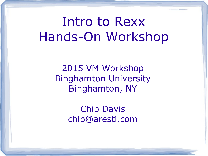# Intro to Rexx Hands-On Workshop

2015 VM Workshop Binghamton University Binghamton, NY

> Chip Davis chip@aresti.com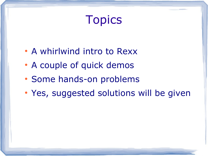# Topics

- A whirlwind intro to Rexx
- A couple of quick demos
- Some hands-on problems
- Yes, suggested solutions will be given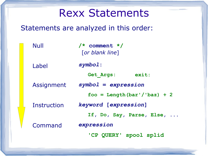### Rexx Statements

#### Statements are analyzed in this order:

| Null        | $/*$ comment $*/$<br>[or blank line] |
|-------------|--------------------------------------|
| Label       | symbol:                              |
|             | exit:<br>Get Args:                   |
| Assignment  | $symbol 1 = expression$              |
|             | $foo = Length(bar'/baz) + 2$         |
| Instruction | keyword [expression]                 |
|             | If, Do, Say, Parse, Else,            |
| Command     | expression                           |
|             | 'CP QUERY' spool splid               |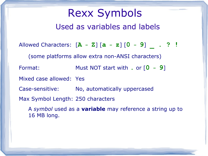#### Rexx Symbols Used as variables and labels

Allowed Characters: [**A - Z**] [**a - z**] [**0 - 9**] **\_ . ? !** (some platforms allow extra non-ANSI characters) Format: Must NOT start with **.** or [**0 - 9**] Mixed case allowed: Yes Case-sensitive: No, automatically uppercased Max Symbol Length: 250 characters A *symbol* used as a **variable** may reference a string up to 16 MB long.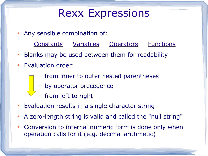#### Rexx Expressions

- Any sensible combination of:
	- Constants Variables Operators Functions
- Blanks may be used between them for readability
- Evaluation order:
	- from inner to outer nested parentheses
	- by operator precedence
	- from left to right
- Evaluation results in a single character string
- A zero-length string is valid and called the "null string"
- Conversion to internal numeric form is done only when operation calls for it (e.g. decimal arithmetic)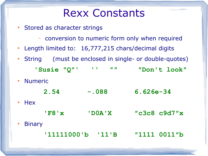#### Rexx Constants

- Stored as character strings
	- conversion to numeric form only when required
- Length limited to: 16,777,215 chars/decimal digits
- String (must be enclosed in single- or double-quotes)
	- **'Susie ″Q″' '' ″″ ″Don't look″**
- **Numeric** 
	- **2.54 -.088 6.626e-34**
- Hex
- **'F8'x 'D0A'X ″c3c8 c9d7″x**
- **Binary** 
	- **'11111000'b '11'B ″1111 0011″b**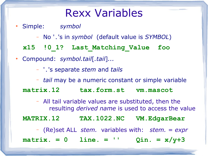#### Rexx Variables

- Simple: *symbol*
	- No '**.**'s in *symbol* (default value is *SYMBOL*)
	- **x15 !0\_1? Last\_Matching\_Value foo**
- Compound: *symbol.tail*[*.tail*]*...*
	- '**.**'s separate *stem* and *tails*
	- *tail* may be a numeric constant or simple variable

**matrix.12 tax.form.st vm.mascot**

– All tail variable values are substituted, then the resulting *derived name* is used to access the value

**MATRIX.12 TAX.1022.NC VM.EdgarBear**

– (Re)set ALL *stem.* variables with: *stem.* = *expr*

**matrix. = 0 line. = '' Qin. = x/y+3**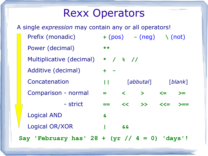#### Rexx Operators

Prefix (monadic) **+** (pos) **-** (neg) **\** (not) Power (decimal) **\*\*** Multiplicative (decimal) **\* / % //** Additive (decimal) **+ -** Concatenation **||** [*abbutal*] [*blank*] Comparison - normal **= < > <= >=** ----Cparison - strict **== << >> <<= >==** Logical AND **&** Logical OR/XOR **| &&** A single *expression* may contain any or all operators! **Say 'February has' 28 + (yr // 4 = 0) 'days'!**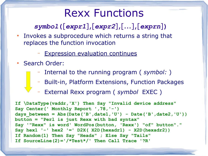#### Rexx Functions

#### *symbol***(**[*expr1*],[*expr2*],[...],[*exprn*]**)**

- Invokes a subprocedure which returns a string that replaces the function invocation
	- Expression evaluation continues
- Search Order:
	- Internal to the running program ( *symbol:* )
	- Built-in, Platform Extensions, Function Packages
	- External Rexx program ( *symbol* EXEC )

**If \DataType(vaddr,'X') Then Say "Invalid device address" Say Center(' Monthly Report ',78,'-') days\_between = Abs(Date('B',date1,'U') - Date('B',date2,'U')) button = "Perl is just Rexx with bad syntax" Say '"Rexx" is word' WordPos(button, 'Rexx') "of" button"." Say hex1 '-' hex2 '=' D2X( X2D(hexadr1) - X2D(hexadr2)) If Random(1) Then Say "Heads" ; Else Say "Tails" If SourceLine(2)='/\*Test\*/' Then Call Trace '?R'**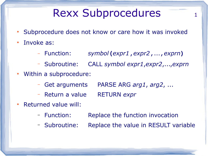## Rexx Subprocedures 1

- Subprocedure does not know or care how it was invoked
- Invoke as:
	- Function: *symbol***(***expr1***,***expr2***,**...**,***exprn***)**
	- Subroutine: CALL *symbol expr1*,*expr2*,...,*exprn*
- Within a subprocedure:
	- Get arguments PARSE ARG *arg1*, *arg2*, ...
	- Return a value RETURN *expr*
- **Returned value will:** 
	- Function: Replace the function invocation
	- Subroutine: Replace the value in RESULT variable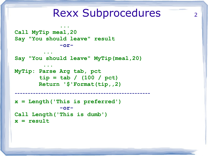#### Rexx Subprocedures 2

```
Call MyTip meal,20
Say "You should leave" result
              -or-...
Say "You should leave" MyTip(meal,20)
         ...
MyTip: Parse Arg tab, pct
        tip = tab / (100 / pct)
        Return '$'Format(tip,,2)
----------------------------------------------------
x = Length('This is preferred')
              -or-
Call Length('This is dumb')
x = result
```
 **...**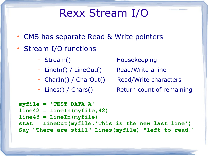## Rexx Stream I/O

- CMS has separate Read & Write pointers
- Stream I/O functions
	-
	- LineIn() / LineOut() Read/Write a line
	- CharIn() / CharOut() Read/Write characters
	-

– Stream() Housekeeping

- Lines() / Chars() Return count of remaining

```
myfile = 'TEST DATA A'
line42 = LineIn(myfile,42)
line43 = LineIn(myfile)
stat = LineOut(myfile,'This is the new last line')
Say "There are still" Lines(myfile) "left to read."
```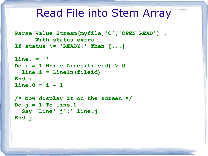#### Read File into Stem Array

```
Parse Value Stream(myfile,'C','OPEN READ') ,
       With status extra
If status \= 'READY:' Then [...]
```

```
line. = ''
Do i = 1 While Lines(fileid) > 0
   line.i = LineIn(fileid)
End i
```

```
\ln 0 = i - 1
```

```
/* Now display it on the screen */
Do j = 1 To line.0
   Say 'Line' j':' line.j
End j
```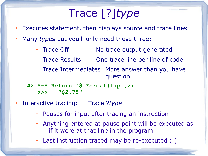# Trace [?]*type*

- Executes statement, then displays source and trace lines
- Many *type*s but you'll only need these three:
	- Trace Off No trace output generated
	- Trace Results One trace line per line of code
	- Trace Intermediates More answer than you have question...
	- **42 \*-\* Return '\$'Format(tip,,2) >>> "\$2.75"**
- Interactive tracing: Trace ?*type* 
	- Pauses for input after tracing an instruction
	- Anything entered at pause point will be executed as if it were at that line in the program
	- Last instruction traced may be re-executed (!)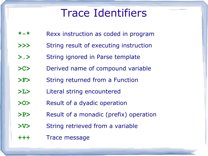### Trace Identifiers

- **\*-\*** Rexx instruction as coded in program
- **>>>** String result of executing instruction
- **>.>** String ignored in Parse template
- **>C>** Derived name of compound variable
- **>F>** String returned from a Function
- **>L>** Literal string encountered
- **>O>** Result of a dyadic operation
- **>P>** Result of a monadic (prefix) operation
- **>V>** String retrieved from a variable
- **+++** Trace message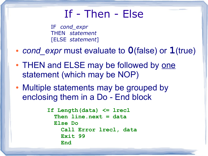#### If - Then - Else

IF *cond\_expr* THEN *statement* [ELSE *statement*]

- *cond* expr must evaluate to **0**(false) or **1**(true)
- THEN and ELSE may be followed by one statement (which may be NOP)
- Multiple statements may be grouped by enclosing them in a Do - End block

```
If Length(data) <= lrecl
   Then line.next = data
   Else Do
     Call Error lrecl, data
     Exit 99
     End
```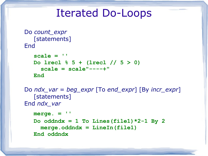#### Iterated Do-Loops

```
Do count_expr
    [statements]
End
```

```
scale = ''
Do lrecl % 5 + (lrecl // 5 > 0)
   scale = scale"----+"
End
```

```
Do ndx_var = beg_expr [To end_expr] [By incr_expr]
   [statements]
End ndx_var
```

```
merge. = ''
Do oddndx = 1 To Lines (file1) *2-1 By 2
   merge.oddndx = LineIn(file1)
End oddndx
```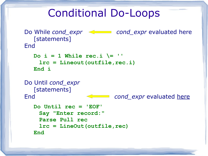#### Conditional Do-Loops

```
Do While cond_expr cond_cond_expr evaluated here
   [statements]
End
  Do i = 1 While rec.i \left| = \right| ''
     lrc = Lineout(outfile,rec.i)
   End i
Do Until cond_expr
  [statements]
End cond expr evaluated here
   Do Until rec = 'EOF'
     Say "Enter record:"
     Parse Pull rec
     lrc = LineOut(outfile,rec)
   End
```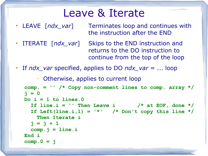#### Leave & Iterate

- LEAVE [*ndx var*] Terminates loop and continues with the instruction after the END
- ITERATE [*ndx\_var*] Skips to the END instruction and returns to the DO instruction to continue from the top of the loop
- If *ndx\_var* specified, applies to DO *ndx\_var* = ... loop

– Otherwise, applies to current loop

```
comp. = '' /* Copy non-comment lines to comp. array */
j = 0
Do i = 1 to lines.0
  If line.i = '' Then Leave i /* at EOF, done */If Left(line.i,1) = '*' /* Don't copy this line */Then Iterate i 
  j = j + 1 comp.j = line.i
End i
comp.0 = j
```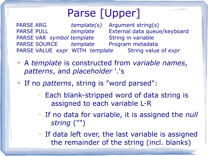## Parse [Upper]

PARSE ARG *template(s)* Argument string(s) PARSE PULL *template* External data queue/keyboard PARSE VAR *symbol template* String in variable PARSE SOURCE *template* Program metadata PARSE VALUE *expr* WITH *template* String value of *expr*

- A *template* is constructed from *variable names*, *patterns*, and *placeholder* '.'s
- If no *patterns*, string is "word parsed":
	- Each blank-stripped word of data string is assigned to each variable L-R
	- If no data for variable, it is assigned the *null string* ("")
	- If data left over, the last variable is assigned the remainder of the string (incl. blanks)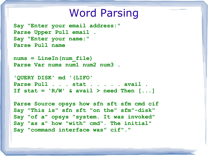#### Word Parsing

**Say "Enter your email address:" Parse Upper Pull email . Say "Enter your name:" Parse Pull name**

**nums = LineIn(num\_file) Parse Var nums num1 num2 num3 .**

**'QUERY DISK' md '(LIFO' Parse Pull . . . stat . . . . . avail .** If stat =  $'R/W'$  & avail > need Then  $[...]$ 

**Parse Source opsys how sfn sft sfm cmd cif Say "This is" sfn sft "on the" sfm"-disk" Say "of a" opsys "system. It was invoked" Say "as a" how "with" cmd". The initial" Say "command interface was" cif"."**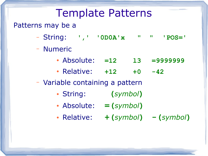### Template Patterns

#### Patterns may be a

- String: **',' '0D0A'x " " 'POS='**
- Numeric
	- Absolute: **=12 l3 =9999999**
	- Relative: **+12 +0 -42**

#### – Variable containing a pattern

- String: **(***symbol***)**
- $\bullet$  Absolute:  $=$  (*symbol*)
- Relative: **+(***symbol***) -(***symbol***)**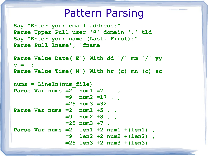#### Pattern Parsing

**Say "Enter your email address:" Parse Upper Pull user '@' domain '.' tld Say "Enter your name (Last, First):" Parse Pull lname', 'fname**

```
Parse Value Date('E') With dd '/' mm '/' yy
c = ':'
Parse Value Time('N') With hr (c) mn (c) sc
```

```
nums = LineIn(num_file)
Parse Var nums =2 num1 =7 . ,
                =9 num2 =17 . ,
                =25 num3 =32 .
Parse Var nums =2 num1 +5 . ,
                =9 num2 +8 . ,
                =25 num3 +7 .
Parse Var nums =2 len1 +2 num1 +(len1) ,
                =9 len2 +2 num2 +(len2) ,
                =25 len3 +2 num3 +(len3)
```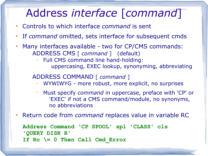## Address *interface* [*command*]

- Controls to which interface *command* is sent
- If *command* omitted, sets interface for subsequent cmds
- Many interfaces available two for CP/CMS commands: ADDRESS CMS [ *command* ] (default)
	- Full CMS command line hand-holding: uppercasing, EXEC lookup, synonyming, abbreviating

#### ADDRESS COMMAND [ *command* ]

- WYWIWYG more robust, more explicit, no surprises
- Must specify *command* in uppercase, preface with 'CP' or 'EXEC' if not a CMS command/module, no synonyms, no abbreviations
- Return code from *command* replaces value in variable RC

**Address Command 'CP SPOOL' spl 'CLASS' cls 'QUERY DISK R' If Rc \= 0 Then Call Cmd\_Error**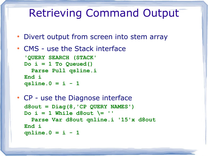### Retrieving Command Output

- Divert output from screen into stem array
- CMS use the Stack interface

```
'QUERY SEARCH (STACK'
Do i = 1 To Queued()
   Parse Pull qsline.i
End i
qsline.0 = i - 1
```

```
• CP - use the Diagnose interface
  d8out = Diag(8,'CP QUERY NAMES')
  Do i = 1 While d8out \ Parse Var d8out qnline.i '15'x d8out
 End i
  qnline.0 = i - 1
```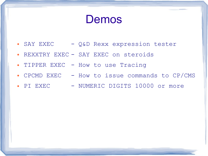Demos

- SAY EXEC Q&D Rexx expression tester
- REXXTRY EXEC SAY EXEC on steroids
- TIPPER EXEC How to use Tracing
- CPCMD EXEC How to issue commands to CP/CMS
- PI EXEC NUMERIC DIGITS 10000 or more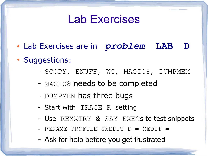## Lab Exercises

- Lab Exercises are in *problem* **LAB D**
- Suggestions:
	- SCOPY, ENUFF, WC, MAGIC8, DUMPMEM
	- MAGIC8 needs to be completed
	- DUMPMEM has three bugs
	- Start with TRACE R setting
	- Use REXXTRY & SAY EXECs to test snippets
	- $-$  RENAME PROFILE SXEDIT  $D = XEDIT =$
	- Ask for help before you get frustrated